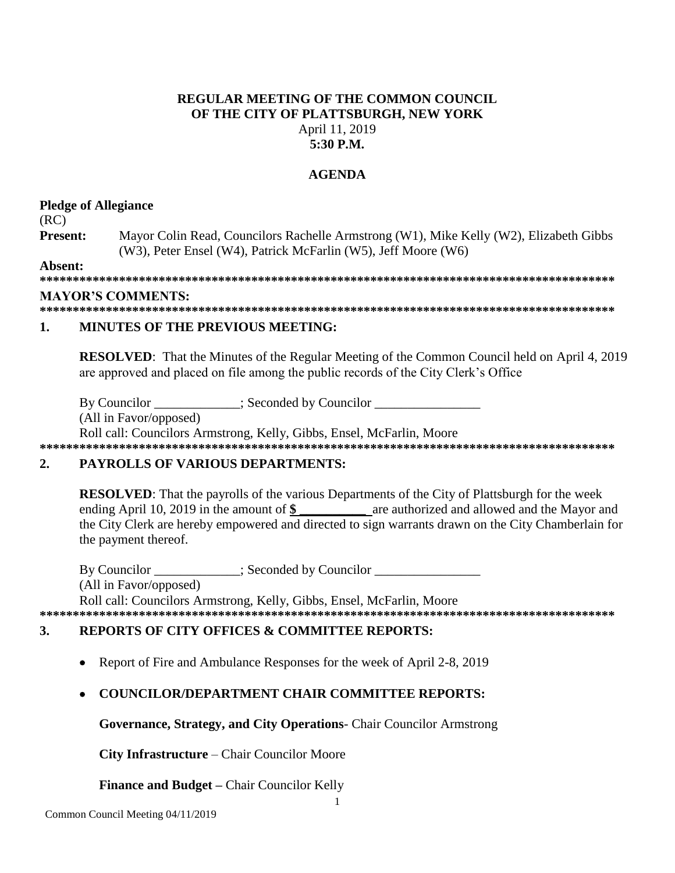# **REGULAR MEETING OF THE COMMON COUNCIL** OF THE CITY OF PLATTSBURGH, NEW YORK April 11, 2019  $5:30$  P.M.

# **AGENDA**

# **Pledge of Allegiance**

 $(RC)$ 

Present: Mayor Colin Read, Councilors Rachelle Armstrong (W1), Mike Kelly (W2), Elizabeth Gibbs (W3), Peter Ensel (W4), Patrick McFarlin (W5), Jeff Moore (W6)

Absent:

### **MAYOR'S COMMENTS:**

#### $\mathbf{1}$ **MINUTES OF THE PREVIOUS MEETING:**

**RESOLVED:** That the Minutes of the Regular Meeting of the Common Council held on April 4, 2019 are approved and placed on file among the public records of the City Clerk's Office

By Councilor \_\_\_\_\_\_\_\_\_\_\_\_; Seconded by Councilor \_\_\_\_\_\_\_

(All in Favor/opposed)

Roll call: Councilors Armstrong, Kelly, Gibbs, Ensel, McFarlin, Moore 

### $2.$ **PAYROLLS OF VARIOUS DEPARTMENTS:**

**RESOLVED:** That the payrolls of the various Departments of the City of Plattsburgh for the week ending April 10, 2019 in the amount of \$ are authorized and allowed and the Mayor and the City Clerk are hereby empowered and directed to sign warrants drawn on the City Chamberlain for the payment thereof.

By Councilor : Seconded by Councilor (All in Favor/opposed) Roll call: Councilors Armstrong, Kelly, Gibbs, Ensel, McFarlin, Moore 

### $\mathbf{3}$ . **REPORTS OF CITY OFFICES & COMMITTEE REPORTS:**

Report of Fire and Ambulance Responses for the week of April 2-8, 2019  $\bullet$ 

# **COUNCILOR/DEPARTMENT CHAIR COMMITTEE REPORTS:**

**Governance, Strategy, and City Operations-** Chair Councilor Armstrong

**City Infrastructure** – Chair Councilor Moore

**Finance and Budget – Chair Councilor Kelly**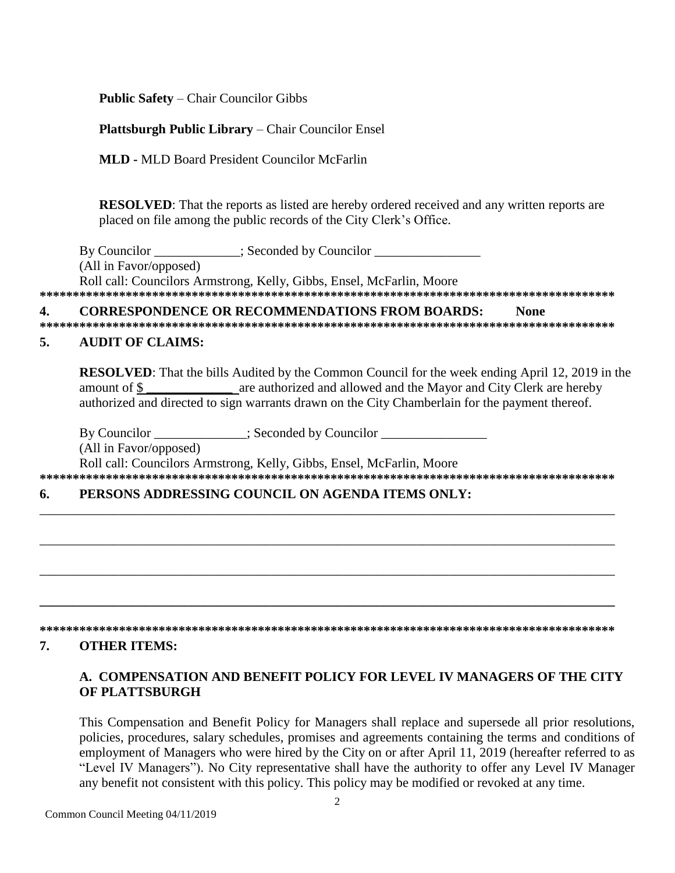**Public Safety – Chair Councilor Gibbs** 

# **Plattsburgh Public Library – Chair Councilor Ensel**

**MLD - MLD Board President Councilor McFarlin** 

**RESOLVED:** That the reports as listed are hereby ordered received and any written reports are placed on file among the public records of the City Clerk's Office.

By Councilor ; Seconded by Councilor (All in Favor/opposed) Roll call: Councilors Armstrong, Kelly, Gibbs, Ensel, McFarlin, Moore 

#### **CORRESPONDENCE OR RECOMMENDATIONS FROM BOARDS:** 4. **None**

### $\sqrt{2}$ **AUDIT OF CLAIMS:**

**RESOLVED:** That the bills Audited by the Common Council for the week ending April 12, 2019 in the are authorized and allowed and the Mayor and City Clerk are hereby amount of \$ authorized and directed to sign warrants drawn on the City Chamberlain for the payment thereof.

By Councilor \_\_\_\_\_\_\_\_\_\_\_\_\_; Seconded by Councilor \_\_\_\_\_\_\_\_\_\_\_\_\_\_\_\_\_\_\_\_\_\_\_\_\_\_\_\_\_\_ (All in Favor/opposed) Roll call: Councilors Armstrong, Kelly, Gibbs, Ensel, McFarlin, Moore 

#### PERSONS ADDRESSING COUNCIL ON AGENDA ITEMS ONLY: 6.

#### 7. **OTHER ITEMS:**

# A. COMPENSATION AND BENEFIT POLICY FOR LEVEL IV MANAGERS OF THE CITY OF PLATTSBURGH

This Compensation and Benefit Policy for Managers shall replace and supersede all prior resolutions, policies, procedures, salary schedules, promises and agreements containing the terms and conditions of employment of Managers who were hired by the City on or after April 11, 2019 (hereafter referred to as "Level IV Managers"). No City representative shall have the authority to offer any Level IV Manager any benefit not consistent with this policy. This policy may be modified or revoked at any time.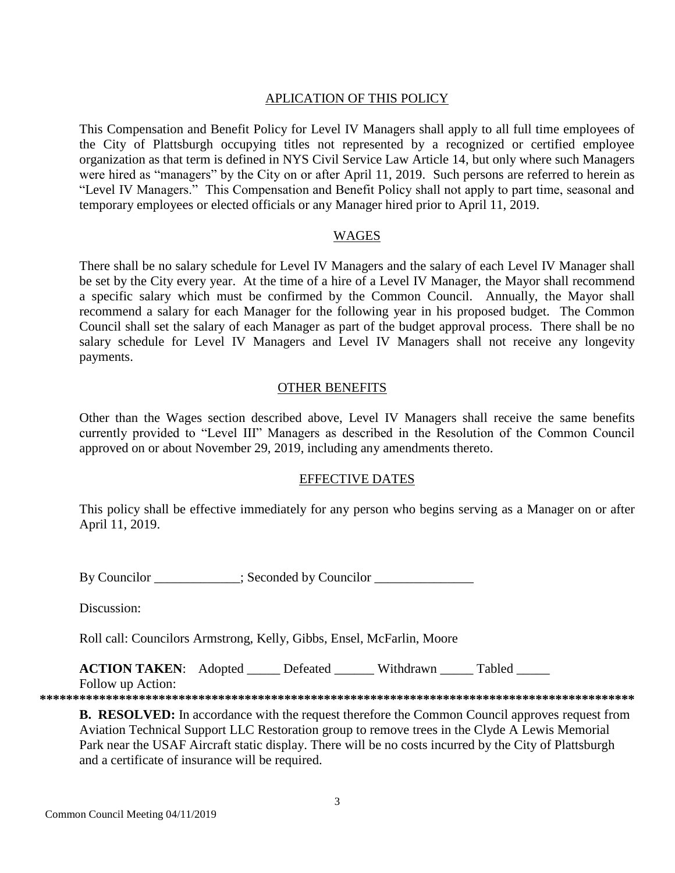# APLICATION OF THIS POLICY

This Compensation and Benefit Policy for Level IV Managers shall apply to all full time employees of the City of Plattsburgh occupying titles not represented by a recognized or certified employee organization as that term is defined in NYS Civil Service Law Article 14, but only where such Managers were hired as "managers" by the City on or after April 11, 2019. Such persons are referred to herein as "Level IV Managers." This Compensation and Benefit Policy shall not apply to part time, seasonal and temporary employees or elected officials or any Manager hired prior to April 11, 2019.

### WAGES

There shall be no salary schedule for Level IV Managers and the salary of each Level IV Manager shall be set by the City every year. At the time of a hire of a Level IV Manager, the Mayor shall recommend a specific salary which must be confirmed by the Common Council. Annually, the Mayor shall recommend a salary for each Manager for the following year in his proposed budget. The Common Council shall set the salary of each Manager as part of the budget approval process. There shall be no salary schedule for Level IV Managers and Level IV Managers shall not receive any longevity payments.

### OTHER BENEFITS

Other than the Wages section described above, Level IV Managers shall receive the same benefits currently provided to "Level III" Managers as described in the Resolution of the Common Council approved on or about November 29, 2019, including any amendments thereto.

### EFFECTIVE DATES

This policy shall be effective immediately for any person who begins serving as a Manager on or after April 11, 2019.

By Councilor \_\_\_\_\_\_\_\_\_\_; Seconded by Councilor \_\_\_\_\_\_\_\_\_\_\_\_\_\_\_\_\_\_\_\_\_\_\_\_\_\_\_\_\_\_\_\_\_

Discussion:

Roll call: Councilors Armstrong, Kelly, Gibbs, Ensel, McFarlin, Moore

**ACTION TAKEN:** Adopted Defeated Withdrawn Tabled Follow up Action:

**\*\*\*\*\*\*\*\*\*\*\*\*\*\*\*\*\*\*\*\*\*\*\*\*\*\*\*\*\*\*\*\*\*\*\*\*\*\*\*\*\*\*\*\*\*\*\*\*\*\*\*\*\*\*\*\*\*\*\*\*\*\*\*\*\*\*\*\*\*\*\*\*\*\*\*\*\*\*\*\*\*\*\*\*\*\*\*\*\*\***

**B. RESOLVED:** In accordance with the request therefore the Common Council approves request from Aviation Technical Support LLC Restoration group to remove trees in the Clyde A Lewis Memorial Park near the USAF Aircraft static display. There will be no costs incurred by the City of Plattsburgh and a certificate of insurance will be required.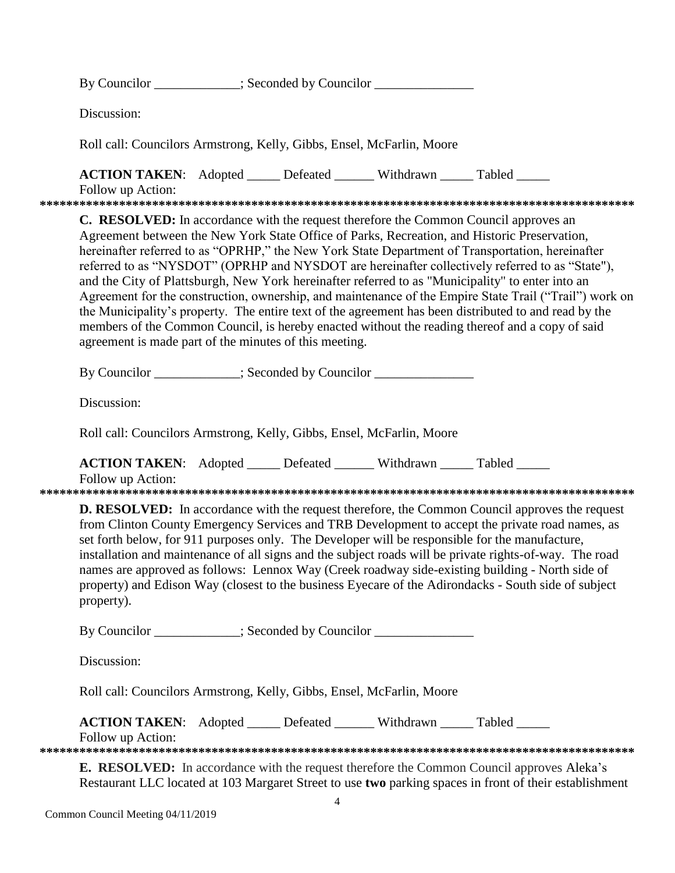|  | By Councilor ___________; Seconded by Councilor ________________________________                                                                                                                                                                                                                                                                                                                                                                                                                                                                                                                                                                                                                                                                                                                                                                                                       |  |  |  |                                                                                                                                                                                                             |  |  |
|--|----------------------------------------------------------------------------------------------------------------------------------------------------------------------------------------------------------------------------------------------------------------------------------------------------------------------------------------------------------------------------------------------------------------------------------------------------------------------------------------------------------------------------------------------------------------------------------------------------------------------------------------------------------------------------------------------------------------------------------------------------------------------------------------------------------------------------------------------------------------------------------------|--|--|--|-------------------------------------------------------------------------------------------------------------------------------------------------------------------------------------------------------------|--|--|
|  | Discussion:                                                                                                                                                                                                                                                                                                                                                                                                                                                                                                                                                                                                                                                                                                                                                                                                                                                                            |  |  |  |                                                                                                                                                                                                             |  |  |
|  | Roll call: Councilors Armstrong, Kelly, Gibbs, Ensel, McFarlin, Moore                                                                                                                                                                                                                                                                                                                                                                                                                                                                                                                                                                                                                                                                                                                                                                                                                  |  |  |  |                                                                                                                                                                                                             |  |  |
|  | <b>ACTION TAKEN:</b> Adopted _____ Defeated ______ Withdrawn _____ Tabled _____<br>Follow up Action:                                                                                                                                                                                                                                                                                                                                                                                                                                                                                                                                                                                                                                                                                                                                                                                   |  |  |  |                                                                                                                                                                                                             |  |  |
|  | <b>C. RESOLVED:</b> In accordance with the request therefore the Common Council approves an<br>Agreement between the New York State Office of Parks, Recreation, and Historic Preservation,<br>hereinafter referred to as "OPRHP," the New York State Department of Transportation, hereinafter<br>referred to as "NYSDOT" (OPRHP and NYSDOT are hereinafter collectively referred to as "State"),<br>and the City of Plattsburgh, New York hereinafter referred to as "Municipality" to enter into an<br>Agreement for the construction, ownership, and maintenance of the Empire State Trail ("Trail") work on<br>the Municipality's property. The entire text of the agreement has been distributed to and read by the<br>members of the Common Council, is hereby enacted without the reading thereof and a copy of said<br>agreement is made part of the minutes of this meeting. |  |  |  |                                                                                                                                                                                                             |  |  |
|  | By Councilor ___________; Seconded by Councilor _______________                                                                                                                                                                                                                                                                                                                                                                                                                                                                                                                                                                                                                                                                                                                                                                                                                        |  |  |  |                                                                                                                                                                                                             |  |  |
|  | Discussion:                                                                                                                                                                                                                                                                                                                                                                                                                                                                                                                                                                                                                                                                                                                                                                                                                                                                            |  |  |  |                                                                                                                                                                                                             |  |  |
|  | Roll call: Councilors Armstrong, Kelly, Gibbs, Ensel, McFarlin, Moore                                                                                                                                                                                                                                                                                                                                                                                                                                                                                                                                                                                                                                                                                                                                                                                                                  |  |  |  |                                                                                                                                                                                                             |  |  |
|  | <b>ACTION TAKEN:</b> Adopted _____ Defeated ______ Withdrawn _____ Tabled _____<br>Follow up Action:                                                                                                                                                                                                                                                                                                                                                                                                                                                                                                                                                                                                                                                                                                                                                                                   |  |  |  |                                                                                                                                                                                                             |  |  |
|  | <b>D. RESOLVED:</b> In accordance with the request therefore, the Common Council approves the request<br>from Clinton County Emergency Services and TRB Development to accept the private road names, as<br>set forth below, for 911 purposes only. The Developer will be responsible for the manufacture,<br>installation and maintenance of all signs and the subject roads will be private rights-of-way. The road<br>names are approved as follows: Lennox Way (Creek roadway side-existing building - North side of<br>property) and Edison Way (closest to the business Eyecare of the Adirondacks - South side of subject<br>property).                                                                                                                                                                                                                                         |  |  |  |                                                                                                                                                                                                             |  |  |
|  | By Councilor ___________; Seconded by Councilor _______________                                                                                                                                                                                                                                                                                                                                                                                                                                                                                                                                                                                                                                                                                                                                                                                                                        |  |  |  |                                                                                                                                                                                                             |  |  |
|  | Discussion:                                                                                                                                                                                                                                                                                                                                                                                                                                                                                                                                                                                                                                                                                                                                                                                                                                                                            |  |  |  |                                                                                                                                                                                                             |  |  |
|  | Roll call: Councilors Armstrong, Kelly, Gibbs, Ensel, McFarlin, Moore                                                                                                                                                                                                                                                                                                                                                                                                                                                                                                                                                                                                                                                                                                                                                                                                                  |  |  |  |                                                                                                                                                                                                             |  |  |
|  | <b>ACTION TAKEN:</b> Adopted ______ Defeated _______ Withdrawn _____ Tabled _____<br>Follow up Action:                                                                                                                                                                                                                                                                                                                                                                                                                                                                                                                                                                                                                                                                                                                                                                                 |  |  |  |                                                                                                                                                                                                             |  |  |
|  |                                                                                                                                                                                                                                                                                                                                                                                                                                                                                                                                                                                                                                                                                                                                                                                                                                                                                        |  |  |  | <b>E. RESOLVED:</b> In accordance with the request therefore the Common Council approves Aleka's<br>Restaurant LLC located at 103 Margaret Street to use two parking spaces in front of their establishment |  |  |

Common Council Meeting 04/11/2019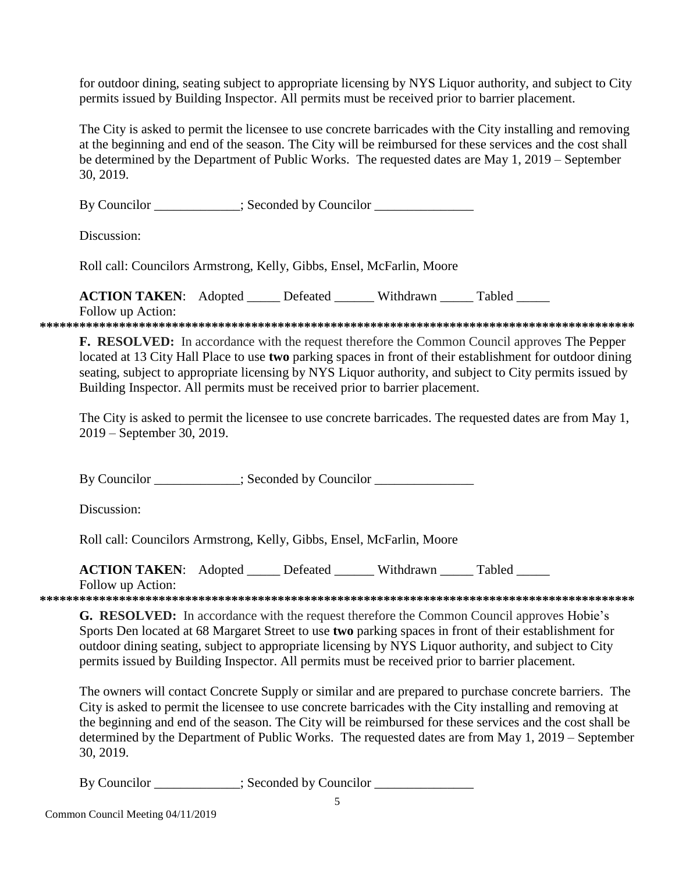for outdoor dining, seating subject to appropriate licensing by NYS Liquor authority, and subject to City permits issued by Building Inspector. All permits must be received prior to barrier placement.

The City is asked to permit the licensee to use concrete barricades with the City installing and removing at the beginning and end of the season. The City will be reimbursed for these services and the cost shall be determined by the Department of Public Works. The requested dates are May 1, 2019 – September 30, 2019.

By Councilor \_\_\_\_\_\_\_\_\_\_; Seconded by Councilor \_\_\_\_\_\_\_\_\_\_\_\_\_\_\_\_\_\_\_\_\_\_\_\_\_\_\_\_\_\_\_\_\_

Discussion:

Roll call: Councilors Armstrong, Kelly, Gibbs, Ensel, McFarlin, Moore

**ACTION TAKEN:** Adopted \_\_\_\_\_ Defeated \_\_\_\_\_\_ Withdrawn \_\_\_\_\_ Tabled \_\_\_\_\_

Follow up Action:

**\*\*\*\*\*\*\*\*\*\*\*\*\*\*\*\*\*\*\*\*\*\*\*\*\*\*\*\*\*\*\*\*\*\*\*\*\*\*\*\*\*\*\*\*\*\*\*\*\*\*\*\*\*\*\*\*\*\*\*\*\*\*\*\*\*\*\*\*\*\*\*\*\*\*\*\*\*\*\*\*\*\*\*\*\*\*\*\*\*\***

**F. RESOLVED:** In accordance with the request therefore the Common Council approves The Pepper located at 13 City Hall Place to use **two** parking spaces in front of their establishment for outdoor dining seating, subject to appropriate licensing by NYS Liquor authority, and subject to City permits issued by Building Inspector. All permits must be received prior to barrier placement.

The City is asked to permit the licensee to use concrete barricades. The requested dates are from May 1, 2019 – September 30, 2019.

By Councilor \_\_\_\_\_\_\_\_\_\_\_; Seconded by Councilor \_\_\_\_\_\_\_\_\_\_\_\_\_\_\_\_\_\_\_\_\_\_\_\_\_\_\_\_\_\_\_\_

Discussion:

Roll call: Councilors Armstrong, Kelly, Gibbs, Ensel, McFarlin, Moore

**ACTION TAKEN:** Adopted \_\_\_\_\_ Defeated \_\_\_\_\_ Withdrawn Tabled

Follow up Action:

**\*\*\*\*\*\*\*\*\*\*\*\*\*\*\*\*\*\*\*\*\*\*\*\*\*\*\*\*\*\*\*\*\*\*\*\*\*\*\*\*\*\*\*\*\*\*\*\*\*\*\*\*\*\*\*\*\*\*\*\*\*\*\*\*\*\*\*\*\*\*\*\*\*\*\*\*\*\*\*\*\*\*\*\*\*\*\*\*\*\***

**G. RESOLVED:** In accordance with the request therefore the Common Council approves Hobie's Sports Den located at 68 Margaret Street to use **two** parking spaces in front of their establishment for outdoor dining seating, subject to appropriate licensing by NYS Liquor authority, and subject to City permits issued by Building Inspector. All permits must be received prior to barrier placement.

The owners will contact Concrete Supply or similar and are prepared to purchase concrete barriers. The City is asked to permit the licensee to use concrete barricades with the City installing and removing at the beginning and end of the season. The City will be reimbursed for these services and the cost shall be determined by the Department of Public Works. The requested dates are from May 1, 2019 – September 30, 2019.

By Councilor \_\_\_\_\_\_\_\_\_\_\_; Seconded by Councilor \_\_\_\_\_\_\_\_\_\_\_\_\_\_\_\_\_\_\_\_\_\_\_\_\_\_\_\_\_\_\_\_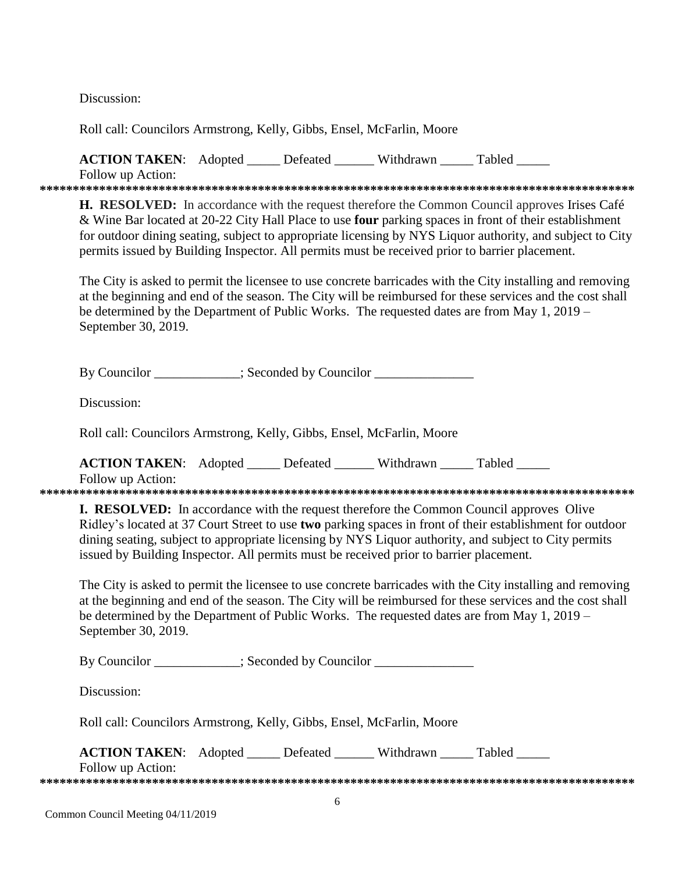Discussion:

Roll call: Councilors Armstrong, Kelly, Gibbs, Ensel, McFarlin, Moore

**ACTION TAKEN:** Adopted Lefeated Withdrawn Tabled Follow up Action: 

**H. RESOLVED:** In accordance with the request therefore the Common Council approves Irises Café & Wine Bar located at 20-22 City Hall Place to use **four** parking spaces in front of their establishment for outdoor dining seating, subject to appropriate licensing by NYS Liquor authority, and subject to City permits issued by Building Inspector. All permits must be received prior to barrier placement.

The City is asked to permit the licensee to use concrete barricades with the City installing and removing at the beginning and end of the season. The City will be reimbursed for these services and the cost shall be determined by the Department of Public Works. The requested dates are from May 1, 2019 – September 30, 2019.

By Councilor \_\_\_\_\_\_\_\_\_\_; Seconded by Councilor \_\_\_\_\_\_\_\_\_\_\_\_\_

Discussion:

Roll call: Councilors Armstrong, Kelly, Gibbs, Ensel, McFarlin, Moore

**ACTION TAKEN:** Adopted \_\_\_\_\_ Defeated \_\_\_\_\_\_ Withdrawn Tabled

Follow up Action:

**I. RESOLVED:** In accordance with the request therefore the Common Council approves Olive Ridley's located at 37 Court Street to use two parking spaces in front of their establishment for outdoor dining seating, subject to appropriate licensing by NYS Liquor authority, and subject to City permits issued by Building Inspector. All permits must be received prior to barrier placement.

The City is asked to permit the licensee to use concrete barricades with the City installing and removing at the beginning and end of the season. The City will be reimbursed for these services and the cost shall be determined by the Department of Public Works. The requested dates are from May 1, 2019 – September 30, 2019.

By Councilor \_\_\_\_\_\_\_\_\_\_; Seconded by Councilor \_\_\_\_\_\_\_\_\_\_\_\_\_\_

Discussion:

Roll call: Councilors Armstrong, Kelly, Gibbs, Ensel, McFarlin, Moore

| <b>ACTION TAKEN:</b> Adopted | Defeated | Withdrawn | Tabled |
|------------------------------|----------|-----------|--------|
| Follow up Action:            |          |           |        |
|                              |          |           |        |